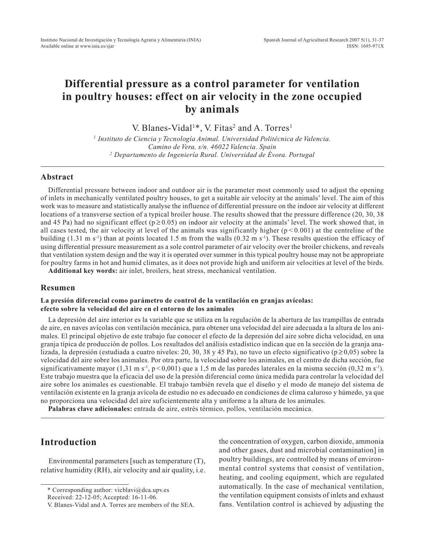# **Differential pressure as a control parameter for ventilation in poultry houses: effect on air velocity in the zone occupied by animals**

V. Blanes-Vidal<sup>1\*</sup>, V. Fitas<sup>2</sup> and A. Torres<sup>1</sup>

*<sup>1</sup> Instituto de Ciencia y Tecnología Animal. Universidad Politécnica de Valencia. Camino de Vera, s/n. 46022 Valencia. Spain <sup>2</sup> Departamento de Ingeniería Rural. Universidad de Évora. Portugal*

## **Abstract**

Differential pressure between indoor and outdoor air is the parameter most commonly used to adjust the opening of inlets in mechanically ventilated poultry houses, to get a suitable air velocity at the animals' level. The aim of this work was to measure and statistically analyse the influence of differential pressure on the indoor air velocity at different locations of a transverse section of a typical broiler house. The results showed that the pressure difference (20, 30, 38 and 45 Pa) had no significant effect ( $p \ge 0.05$ ) on indoor air velocity at the animals' level. The work showed that, in all cases tested, the air velocity at level of the animals was significantly higher  $(p < 0.001)$  at the centreline of the building  $(1.31 \text{ m s}^{-1})$  than at points located 1.5 m from the walls  $(0.32 \text{ m s}^{-1})$ . These results question the efficacy of using differential pressure measurement as a sole control parameter of air velocity over the broiler chickens, and reveals that ventilation system design and the way it is operated over summer in this typical poultry house may not be appropriate for poultry farms in hot and humid climates, as it does not provide high and uniform air velocities at level of the birds.

**Additional key words:** air inlet, broilers, heat stress, mechanical ventilation.

### **Resumen**

#### **La presión diferencial como parámetro de control de la ventilación en granjas avícolas: efecto sobre la velocidad del aire en el entorno de los animales**

La depresión del aire interior es la variable que se utiliza en la regulación de la abertura de las trampillas de entrada de aire, en naves avícolas con ventilación mecánica, para obtener una velocidad del aire adecuada a la altura de los animales. El principal objetivo de este trabajo fue conocer el efecto de la depresión del aire sobre dicha velocidad, en una granja típica de producción de pollos. Los resultados del análisis estadístico indican que en la sección de la granja analizada, la depresión (estudiada a cuatro niveles: 20, 30, 38 y 45 Pa), no tuvo un efecto significativo ( $p \ge 0.05$ ) sobre la velocidad del aire sobre los animales. Por otra parte, la velocidad sobre los animales, en el centro de dicha sección, fue significativamente mayor (1,31 m s<sup>-1</sup>, p < 0,001) que a 1,5 m de las paredes laterales en la misma sección (0,32 m s<sup>-1</sup>). Este trabajo muestra que la eficacia del uso de la presión diferencial como única medida para controlar la velocidad del aire sobre los animales es cuestionable. El trabajo también revela que el diseño y el modo de manejo del sistema de ventilación existente en la granja avícola de estudio no es adecuado en condiciones de clima caluroso y húmedo, ya que no proporciona una velocidad del aire suficientemente alta y uniforme a la altura de los animales.

**Palabras clave adicionales:** entrada de aire, estrés térmico, pollos, ventilación mecánica.

# **Introduction**

Environmental parameters [such as temperature (T), relative humidity (RH), air velocity and air quality, i.e. the concentration of oxygen, carbon dioxide, ammonia and other gases, dust and microbial contamination] in poultry buildings, are controlled by means of environmental control systems that consist of ventilation, heating, and cooling equipment, which are regulated automatically. In the case of mechanical ventilation, the ventilation equipment consists of inlets and exhaust fans. Ventilation control is achieved by adjusting the

<sup>\*</sup> Corresponding author: vicblavi@dca.upv.es

Received: 22-12-05; Accepted: 16-11-06.

V. Blanes-Vidal and A. Torres are members of the SEA.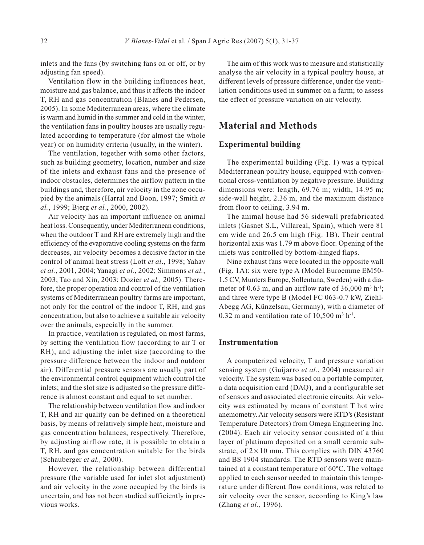inlets and the fans (by switching fans on or off, or by adjusting fan speed).

Ventilation flow in the building influences heat, moisture and gas balance, and thus it affects the indoor T, RH and gas concentration (Blanes and Pedersen, 2005). In some Mediterranean areas, where the climate is warm and humid in the summer and cold in the winter, the ventilation fans in poultry houses are usually regulated according to temperature (for almost the whole year) or on humidity criteria (usually, in the winter).

The ventilation, together with some other factors, such as building geometry, location, number and size of the inlets and exhaust fans and the presence of indoor obstacles, determines the airflow pattern in the buildings and, therefore, air velocity in the zone occupied by the animals (Harral and Boon, 1997; Smith *et al.*, 1999; Bjerg *et al.*, 2000, 2002).

Air velocity has an important influence on animal heat loss. Consequently, under Mediterranean conditions, when the outdoor T and RH are extremely high and the efficiency of the evaporative cooling systems on the farm decreases, air velocity becomes a decisive factor in the control of animal heat stress (Lott *et al*., 1998; Yahav *et al.*, 2001, 2004; Yanagi *et al.*, 2002; Simmons *et al.*, 2003; Tao and Xin, 2003; Dozier *et al.,* 2005). Therefore, the proper operation and control of the ventilation systems of Mediterranean poultry farms are important, not only for the control of the indoor T, RH, and gas concentration, but also to achieve a suitable air velocity over the animals, especially in the summer.

In practice, ventilation is regulated, on most farms, by setting the ventilation flow (according to air T or RH), and adjusting the inlet size (according to the pressure difference between the indoor and outdoor air). Differential pressure sensors are usually part of the environmental control equipment which control the inlets; and the slot size is adjusted so the pressure difference is almost constant and equal to set number.

The relationship between ventilation flow and indoor T, RH and air quality can be defined on a theoretical basis, by means of relatively simple heat, moisture and gas concentration balances, respectively. Therefore, by adjusting airflow rate, it is possible to obtain a T, RH, and gas concentration suitable for the birds (Schauberger *et al.,* 2000).

However, the relationship between differential pressure (the variable used for inlet slot adjustment) and air velocity in the zone occupied by the birds is uncertain, and has not been studied sufficiently in previous works.

The aim of this work was to measure and statistically analyse the air velocity in a typical poultry house, at different levels of pressure difference, under the ventilation conditions used in summer on a farm; to assess the effect of pressure variation on air velocity.

# **Material and Methods**

# **Experimental building**

The experimental building (Fig. 1) was a typical Mediterranean poultry house, equipped with conventional cross-ventilation by negative pressure. Building dimensions were: length, 69.76 m; width, 14.95 m; side-wall height, 2.36 m, and the maximum distance from floor to ceiling, 3.94 m.

The animal house had 56 sidewall prefabricated inlets (Gasnet S.L, Villareal, Spain), which were 81 cm wide and 26.5 cm high (Fig. 1B). Their central horizontal axis was 1.79 m above floor. Opening of the inlets was controlled by bottom-hinged flaps.

Nine exhaust fans were located in the opposite wall (Fig. 1A): six were type A (Model Euroemme EM50- 1.5 CV, Munters Europe, Sollentuna, Sweden) with a diameter of 0.63 m, and an airflow rate of  $36,000 \text{ m}^3 \text{ h}^{-1}$ ; and three were type B (Model FC 063-0.7 kW, Ziehl-Abegg AG, Künzelsau, Germany), with a diameter of 0.32 m and ventilation rate of  $10,500$  m<sup>3</sup> h<sup>-1</sup>.

## **Instrumentation**

A computerized velocity, T and pressure variation sensing system (Guijarro *et al.*, 2004) measured air velocity. The system was based on a portable computer, a data acquisition card (DAQ), and a configurable set of sensors and associated electronic circuits. Air velocity was estimated by means of constant T hot wire anemometry. Air velocity sensors were RTD's (Resistant Temperature Detectors) from Omega Engineering Inc. (2004). Each air velocity sensor consisted of a thin layer of platinum deposited on a small ceramic substrate, of  $2 \times 10$  mm. This complies with DIN 43760 and BS 1904 standards. The RTD sensors were maintained at a constant temperature of 60ºC. The voltage applied to each sensor needed to maintain this temperature under different flow conditions, was related to air velocity over the sensor, according to King's law (Zhang *et al.,* 1996).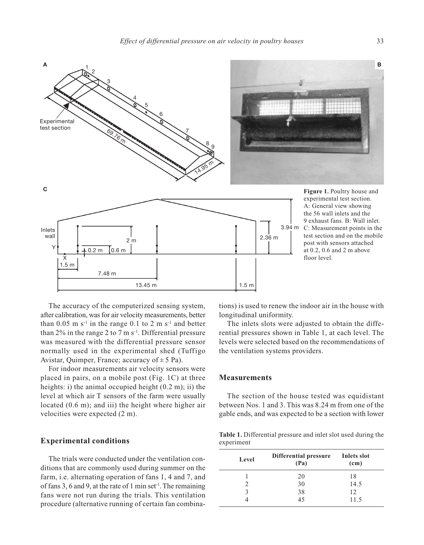

The accuracy of the computerized sensing system, after calibration, was for air velocity measurements, better than  $0.05$  m s<sup>-1</sup> in the range 0.1 to 2 m s<sup>-1</sup> and better than  $2\%$  in the range 2 to 7 m s<sup>-1</sup>. Differential pressure was measured with the differential pressure sensor normally used in the experimental shed (Tuffigo Avistar, Quimper, France; accuracy of  $\pm$  5 Pa).

For indoor measurements air velocity sensors were placed in pairs, on a mobile post (Fig. 1C) at three heights: i) the animal occupied height (0.2 m); ii) the level at which air T sensors of the farm were usually located (0.6 m); and iii) the height where higher air velocities were expected (2 m).

### **Experimental conditions**

The trials were conducted under the ventilation conditions that are commonly used during summer on the farm, i.e. alternating operation of fans 1, 4 and 7, and of fans 3, 6 and 9, at the rate of 1 min set<sup>-1</sup>. The remaining fans were not run during the trials. This ventilation procedure (alternative running of certain fan combinations) is used to renew the indoor air in the house with longitudinal uniformity.

The inlets slots were adjusted to obtain the differential pressures shown in Table 1, at each level. The levels were selected based on the recommendations of the ventilation systems providers.

#### **Measurements**

The section of the house tested was equidistant between Nos. 1 and 3. This was 8.24 m from one of the gable ends, and was expected to be a section with lower

**Table 1.** Differential pressure and inlet slot used during the experiment

| Level | Differential pressure<br>(Pa) | Inlets slot<br>(c <sub>m</sub> ) |
|-------|-------------------------------|----------------------------------|
|       | 20                            | 18                               |
| 2     | 30                            | 14.5                             |
| κ     | 38                            | 12                               |
|       | 45                            | 11.5                             |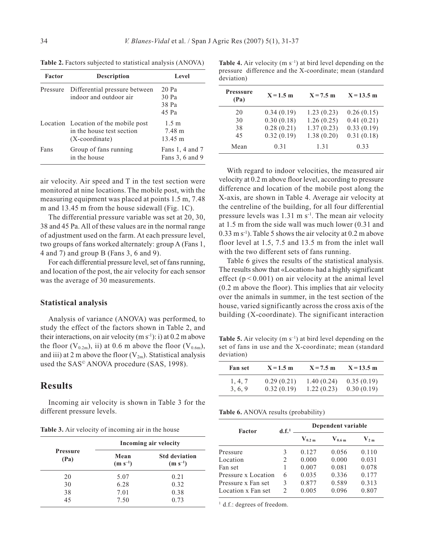| <b>Factor</b> | <b>Description</b>                                                                     | Level                                |
|---------------|----------------------------------------------------------------------------------------|--------------------------------------|
| Pressure      | Differential pressure between<br>indoor and outdoor air                                | $20$ Pa<br>30 Pa<br>38 Pa<br>45 Pa   |
|               | Location Location of the mobile post<br>in the house test section<br>$(X$ -coordinate) | 1.5 m<br>7.48 m<br>$13.45 \text{ m}$ |
| Fans          | Group of fans running<br>in the house                                                  | Fans 1, 4 and 7<br>Fans 3, 6 and 9   |

**Table 2.** Factors subjected to statistical analysis (ANOVA)

air velocity. Air speed and T in the test section were monitored at nine locations. The mobile post, with the measuring equipment was placed at points 1.5 m, 7.48 m and 13.45 m from the house sidewall (Fig. 1C).

The differential pressure variable was set at 20, 30, 38 and 45 Pa. All of these values are in the normal range of adjustment used on the farm. At each pressure level, two groups of fans worked alternately: group A (Fans 1, 4 and 7) and group B (Fans 3, 6 and 9).

For each differential pressure level, set of fans running, and location of the post, the air velocity for each sensor was the average of 30 measurements.

#### **Statistical analysis**

Analysis of variance (ANOVA) was performed, to study the effect of the factors shown in Table 2, and their interactions, on air velocity  $(m s<sup>-1</sup>)$ : i) at 0.2 m above the floor  $(V_{0.2m})$ , ii) at 0.6 m above the floor  $(V_{0.6m})$ , and iii) at 2 m above the floor  $(V_{2m})$ . Statistical analysis used the SAS© ANOVA procedure (SAS, 1998).

# **Results**

Incoming air velocity is shown in Table 3 for the different pressure levels.

**Table 3.** Air velocity of incoming air in the house

|                         | Incoming air velocity |                                      |  |
|-------------------------|-----------------------|--------------------------------------|--|
| <b>Pressure</b><br>(Pa) | Mean<br>$(m s^{-1})$  | <b>Std deviation</b><br>$(m s^{-1})$ |  |
| 20                      | 5.07                  | 0.21                                 |  |
| 30                      | 6.28                  | 0.32                                 |  |
| 38                      | 7.01                  | 0.38                                 |  |
| 45                      | 7.50                  | 0.73                                 |  |

| deviation)               |             |             |              |  |
|--------------------------|-------------|-------------|--------------|--|
| <b>Presssure</b><br>(Pa) | $X = 1.5$ m | $X = 7.5$ m | $X = 13.5$ m |  |
| 20                       | 0.34(0.19)  | 1.23(0.23)  | 0.26(0.15)   |  |
| 30                       | 0.30(0.18)  | 1.26(0.25)  | 0.41(0.21)   |  |
| 38                       | 0.28(0.21)  | 1.37(0.23)  | 0.33(0.19)   |  |
| 45                       | 0.32(0.19)  | 1.38(0.20)  | 0.31(0.18)   |  |

Mean 0.31 1.31 0.33

**Table 4.** Air velocity  $(m s^{-1})$  at bird level depending on the pressure difference and the X-coordinate; mean (standard

With regard to indoor velocities, the measured air velocity at 0.2 m above floor level, according to pressure difference and location of the mobile post along the X-axis, are shown in Table 4. Average air velocity at the centreline of the building, for all four differential pressure levels was  $1.31 \text{ m s}^{-1}$ . The mean air velocity at 1.5 m from the side wall was much lower (0.31 and  $0.33 \text{ m s}^{-1}$ ). Table 5 shows the air velocity at  $0.2 \text{ m}$  above floor level at 1.5, 7.5 and 13.5 m from the inlet wall with the two different sets of fans running.

Table 6 gives the results of the statistical analysis. The results show that «Location» had a highly significant effect ( $p < 0.001$ ) on air velocity at the animal level (0.2 m above the floor). This implies that air velocity over the animals in summer, in the test section of the house, varied significantly across the cross axis of the building (X-coordinate). The significant interaction

**Table 5.** Air velocity  $(m s^{-1})$  at bird level depending on the set of fans in use and the X-coordinate; mean (standard deviation)

| <b>Fan set</b> | $X = 1.5$ m | $X = 7.5$ m | $X = 13.5$ m |
|----------------|-------------|-------------|--------------|
| 1, 4, 7        | 0.29(0.21)  | 1.40(0.24)  | 0.35(0.19)   |
| 3, 6, 9        | 0.32(0.19)  | 1.22(0.23)  | 0.30(0.19)   |

**Table 6.** ANOVA results (probability)

| Factor              | d.f. <sup>1</sup> | Dependent variable |            |          |
|---------------------|-------------------|--------------------|------------|----------|
|                     |                   | $V_{0.2 m}$        | $V_{6.6m}$ | $V_{2m}$ |
| Pressure            | 3                 | 0.127              | 0.056      | 0.110    |
| Location            | 2                 | 0.000              | 0.000      | 0.031    |
| Fan set             | 1                 | 0.007              | 0.081      | 0.078    |
| Pressure x Location | 6                 | 0.035              | 0.336      | 0.177    |
| Pressure x Fan set  | 3                 | 0.877              | 0.589      | 0.313    |
| Location x Fan set  | 2                 | 0.005              | 0.096      | 0.807    |

<sup>1</sup> d.f.: degrees of freedom.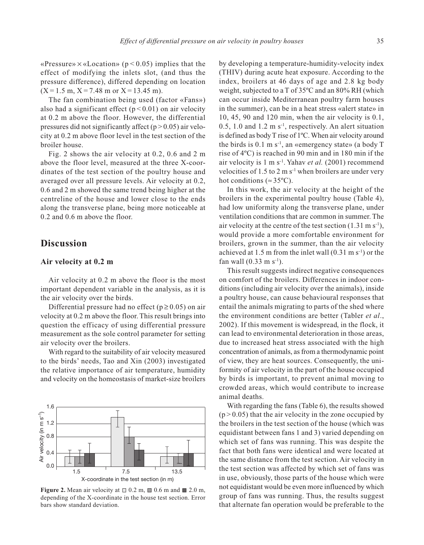«Pressure»  $\times$  «Location» ( $p$  < 0.05) implies that the effect of modifying the inlets slot, (and thus the pressure difference), differed depending on location  $(X = 1.5 \text{ m}, X = 7.48 \text{ m} \text{ or } X = 13.45 \text{ m}).$ 

The fan combination being used (factor «Fans») also had a significant effect  $(p < 0.01)$  on air velocity at 0.2 m above the floor. However, the differential pressures did not significantly affect ( $p > 0.05$ ) air velocity at 0.2 m above floor level in the test section of the broiler house.

Fig. 2 shows the air velocity at 0.2, 0.6 and 2 m above the floor level, measured at the three X-coordinates of the test section of the poultry house and averaged over all pressure levels. Air velocity at 0.2, 0.6 and 2 m showed the same trend being higher at the centreline of the house and lower close to the ends along the transverse plane, being more noticeable at 0.2 and 0.6 m above the floor.

# **Discussion**

# **Air velocity at 0.2 m**

Air velocity at 0.2 m above the floor is the most important dependent variable in the analysis, as it is the air velocity over the birds.

Differential pressure had no effect ( $p \ge 0.05$ ) on air velocity at 0.2 m above the floor. This result brings into question the efficacy of using differential pressure measurement as the sole control parameter for setting air velocity over the broilers.

With regard to the suitability of air velocity measured to the birds' needs, Tao and Xin (2003) investigated the relative importance of air temperature, humidity and velocity on the homeostasis of market-size broilers



**Figure 2.** Mean air velocity at  $\Box$  0.2 m,  $\Box$  0.6 m and  $\Box$  2.0 m, depending of the X-coordinate in the house test section. Error bars show standard deviation.

by developing a temperature-humidity-velocity index (THIV) during acute heat exposure. According to the index, broilers at 46 days of age and 2.8 kg body weight, subjected to a T of 35ºC and an 80% RH (which can occur inside Mediterranean poultry farm houses in the summer), can be in a heat stress «alert state» in 10, 45, 90 and 120 min, when the air velocity is 0.1, 0.5, 1.0 and 1.2 m  $s^{-1}$ , respectively. An alert situation is defined as body T rise of 1ºC. When air velocity around the birds is  $0.1 \text{ m s}^{-1}$ , an «emergency state» (a body T rise of 4ºC) is reached in 90 min and in 180 min if the air velocity is 1 m s-1. Yahav *et al.* (2001) recommend velocities of  $1.5$  to  $2 \text{ m s}^{-1}$  when broilers are under very hot conditions ( $\approx 35^{\circ}$ C).

In this work, the air velocity at the height of the broilers in the experimental poultry house (Table 4), had low uniformity along the transverse plane, under ventilation conditions that are common in summer. The air velocity at the centre of the test section  $(1.31 \text{ m s}^{-1})$ , would provide a more comfortable environment for broilers, grown in the summer, than the air velocity achieved at 1.5 m from the inlet wall  $(0.31 \text{ m s}^{-1})$  or the fan wall  $(0.33 \text{ m s}^{-1})$ .

This result suggests indirect negative consequences on comfort of the broilers. Differences in indoor conditions (including air velocity over the animals), inside a poultry house, can cause behavioural responses that entail the animals migrating to parts of the shed where the environment conditions are better (Tabler *et al*., 2002). If this movement is widespread, in the flock, it can lead to environmental deterioration in those areas, due to increased heat stress associated with the high concentration of animals, as from a thermodynamic point of view, they are heat sources. Consequently, the uniformity of air velocity in the part of the house occupied by birds is important, to prevent animal moving to crowded areas, which would contribute to increase animal deaths.

With regarding the fans (Table 6), the results showed  $(p > 0.05)$  that the air velocity in the zone occupied by the broilers in the test section of the house (which was equidistant between fans 1 and 3) varied depending on which set of fans was running. This was despite the fact that both fans were identical and were located at the same distance from the test section. Air velocity in the test section was affected by which set of fans was in use, obviously, those parts of the house which were not equidistant would be even more influenced by which group of fans was running. Thus, the results suggest that alternate fan operation would be preferable to the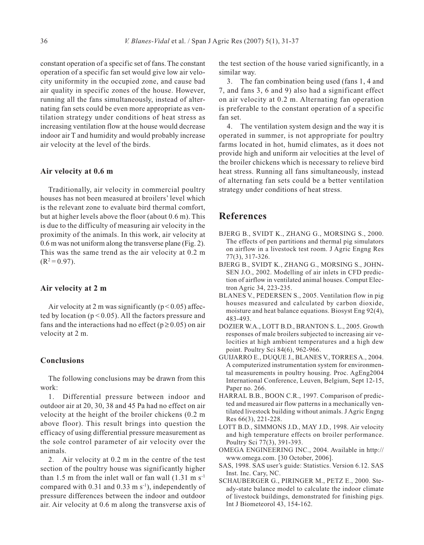constant operation of a specific set of fans. The constant operation of a specific fan set would give low air velocity uniformity in the occupied zone, and cause bad air quality in specific zones of the house. However, running all the fans simultaneously, instead of alternating fan sets could be even more appropriate as ventilation strategy under conditions of heat stress as increasing ventilation flow at the house would decrease indoor air T and humidity and would probably increase air velocity at the level of the birds.

#### **Air velocity at 0.6 m**

Traditionally, air velocity in commercial poultry houses has not been measured at broilers' level which is the relevant zone to evaluate bird thermal comfort, but at higher levels above the floor (about 0.6 m). This is due to the difficulty of measuring air velocity in the proximity of the animals. In this work, air velocity at 0.6 m was not uniform along the transverse plane (Fig. 2). This was the same trend as the air velocity at 0.2 m  $(R^2 = 0.97)$ .

#### **Air velocity at 2 m**

Air velocity at 2 m was significantly ( $p < 0.05$ ) affected by location ( $p < 0.05$ ). All the factors pressure and fans and the interactions had no effect ( $p \ge 0.05$ ) on air velocity at 2 m.

### **Conclusions**

The following conclusions may be drawn from this work:

1. Differential pressure between indoor and outdoor air at 20, 30, 38 and 45 Pa had no effect on air velocity at the height of the broiler chickens (0.2 m above floor). This result brings into question the efficacy of using differential pressure measurement as the sole control parameter of air velocity over the animals.

2. Air velocity at 0.2 m in the centre of the test section of the poultry house was significantly higher than 1.5 m from the inlet wall or fan wall  $(1.31 \text{ m s}^{-1})$ compared with  $0.31$  and  $0.33$  m s<sup>-1</sup>), independently of pressure differences between the indoor and outdoor air. Air velocity at 0.6 m along the transverse axis of the test section of the house varied significantly, in a similar way.

3. The fan combination being used (fans 1, 4 and 7, and fans 3, 6 and 9) also had a significant effect on air velocity at 0.2 m. Alternating fan operation is preferable to the constant operation of a specific fan set.

4. The ventilation system design and the way it is operated in summer, is not appropriate for poultry farms located in hot, humid climates, as it does not provide high and uniform air velocities at the level of the broiler chickens which is necessary to relieve bird heat stress. Running all fans simultaneously, instead of alternating fan sets could be a better ventilation strategy under conditions of heat stress.

# **References**

- BJERG B., SVIDT K., ZHANG G., MORSING S., 2000. The effects of pen partitions and thermal pig simulators on airflow in a livestock test room. J Agric Engng Res 77(3), 317-326.
- BJERG B., SVIDT K., ZHANG G., MORSING S., JOHN-SEN J.O., 2002. Modelling of air inlets in CFD prediction of airflow in ventilated animal houses. Comput Electron Agric 34, 223-235.
- BLANES V., PEDERSEN S., 2005. Ventilation flow in pig houses measured and calculated by carbon dioxide, moisture and heat balance equations. Biosyst Eng 92(4), 483-493.
- DOZIER W.A., LOTT B.D., BRANTON S. L., 2005. Growth responses of male broilers subjected to increasing air velocities at high ambient temperatures and a high dew point. Poultry Sci 84(6), 962-966.
- GUIJARRO E., DUQUE J., BLANES V., TORRES A., 2004. A computerized instrumentation system for environmental measurements in poultry housing. Proc. AgEng2004 International Conference, Leuven, Belgium, Sept 12-15, Paper no. 266.
- HARRAL B.B., BOON C.R., 1997. Comparison of predicted and measured air flow patterns in a mechanically ventilated livestock building without animals. J Agric Engng Res 66(3), 221-228.
- LOTT B.D., SIMMONS J.D., MAY J.D., 1998. Air velocity and high temperature effects on broiler performance. Poultry Sci 77(3), 391-393.
- OMEGA ENGINEERING INC., 2004. Available in http:// www.omega.com. [30 October, 2006].
- SAS, 1998. SAS user's guide: Statistics. Version 6.12. SAS Inst. Inc. Cary, NC.
- SCHAUBERGER G., PIRINGER M., PETZ E., 2000. Steady-state balance model to calculate the indoor climate of livestock buildings, demonstrated for finishing pigs. Int J Biometeorol 43, 154-162.